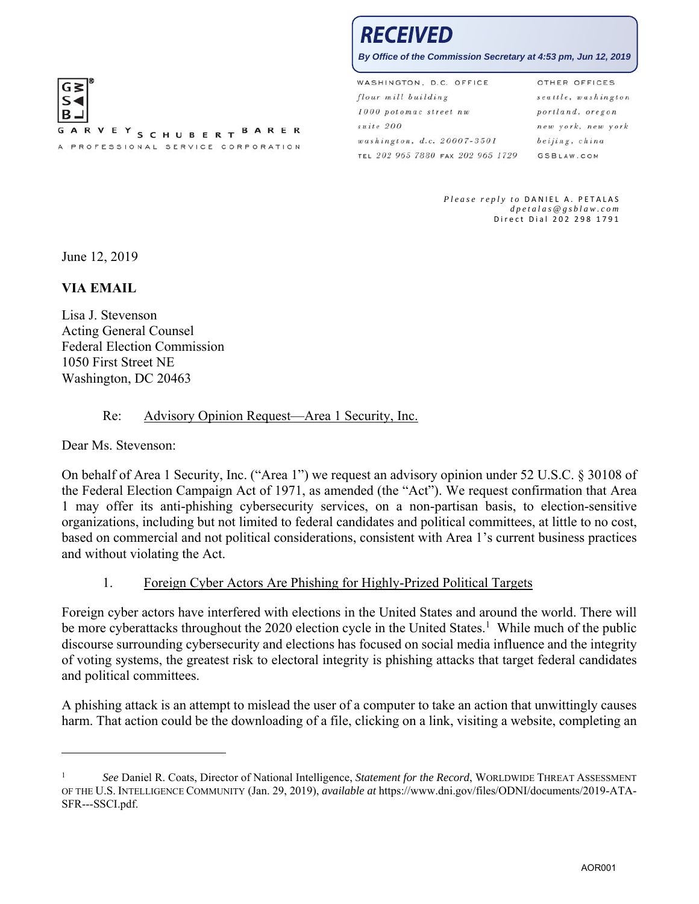

# RECEIVED

**By Office of the Commission Secretary at 4:53 pm, Jun 12, 2019**

WASHINGTON, D.C. OFFICE OTHER OFFICES flour mill building seattle, washington 1000 potomac street nw portland, oregon suite 200 new york, new york washington, d.c. 20007-3501 beijing, china TEL 202 965 7880 FAX 202 965 1729 **GSBLAW.COM** 

> *Please reply to* DANIEL A. PETALAS *dpetalas@gsblaw.com*  Direct Dial 202 298 1791

June 12, 2019

#### **VIA EMAIL**

Lisa J. Stevenson Acting General Counsel Federal Election Commission 1050 First Street NE Washington, DC 20463

#### Re: Advisory Opinion Request—Area 1 Security, Inc.

Dear Ms. Stevenson:

 $\overline{\phantom{a}}$ 

On behalf of Area 1 Security, Inc. ("Area 1") we request an advisory opinion under 52 U.S.C. § 30108 of the Federal Election Campaign Act of 1971, as amended (the "Act"). We request confirmation that Area 1 may offer its anti-phishing cybersecurity services, on a non-partisan basis, to election-sensitive organizations, including but not limited to federal candidates and political committees, at little to no cost, based on commercial and not political considerations, consistent with Area 1's current business practices and without violating the Act.

#### 1. Foreign Cyber Actors Are Phishing for Highly-Prized Political Targets

Foreign cyber actors have interfered with elections in the United States and around the world. There will be more cyberattacks throughout the 2020 election cycle in the United States.<sup>1</sup> While much of the public discourse surrounding cybersecurity and elections has focused on social media influence and the integrity of voting systems, the greatest risk to electoral integrity is phishing attacks that target federal candidates and political committees.

A phishing attack is an attempt to mislead the user of a computer to take an action that unwittingly causes harm. That action could be the downloading of a file, clicking on a link, visiting a website, completing an

<sup>1</sup> *See* Daniel R. Coats, Director of National Intelligence, *Statement for the Record*, WORLDWIDE THREAT ASSESSMENT OF THE U.S. INTELLIGENCE COMMUNITY (Jan. 29, 2019), *available at* https://www.dni.gov/files/ODNI/documents/2019-ATA-SFR---SSCI.pdf.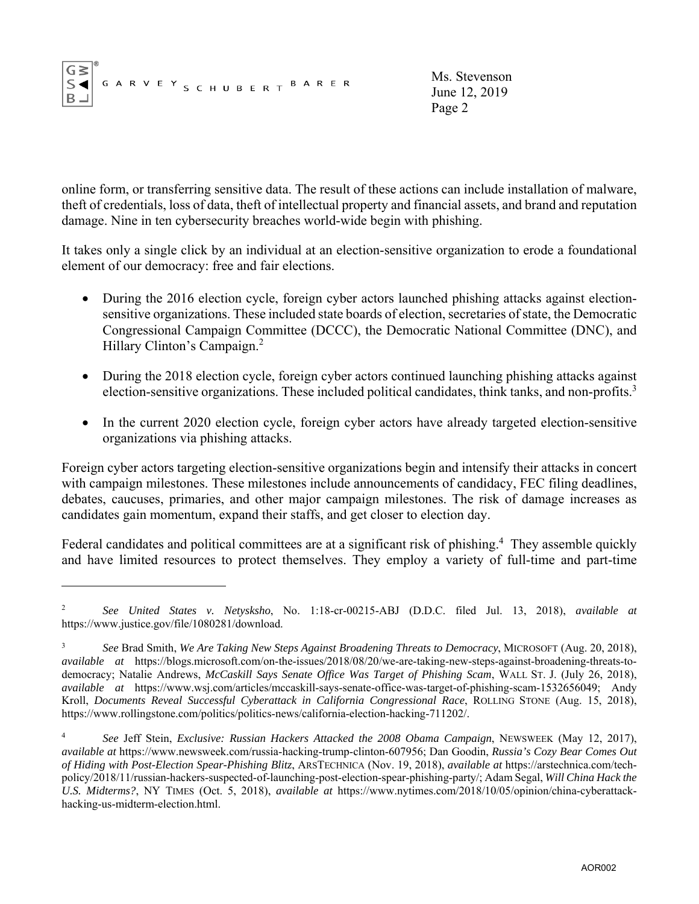$$
\begin{array}{|c|c|} \hline G \geq \\ S \blacktriangleleft \\ B \end{array}^{\tiny{\textcircled{\tiny{\#}}}}\text{G} \text{A} \text{R} \text{V} \text{E} \text{Y} \text{S} \text{C} \text{H} \text{U} \text{B} \text{E} \text{R} \text{T} \text{B} \text{A} \text{R} \text{E} \text{R}
$$

1

Ms. Stevenson June 12, 2019 Page 2

online form, or transferring sensitive data. The result of these actions can include installation of malware, theft of credentials, loss of data, theft of intellectual property and financial assets, and brand and reputation damage. Nine in ten cybersecurity breaches world-wide begin with phishing.

It takes only a single click by an individual at an election-sensitive organization to erode a foundational element of our democracy: free and fair elections.

- During the 2016 election cycle, foreign cyber actors launched phishing attacks against electionsensitive organizations. These included state boards of election, secretaries of state, the Democratic Congressional Campaign Committee (DCCC), the Democratic National Committee (DNC), and Hillary Clinton's Campaign.<sup>2</sup>
- During the 2018 election cycle, foreign cyber actors continued launching phishing attacks against election-sensitive organizations. These included political candidates, think tanks, and non-profits.<sup>3</sup>
- In the current 2020 election cycle, foreign cyber actors have already targeted election-sensitive organizations via phishing attacks.

Foreign cyber actors targeting election-sensitive organizations begin and intensify their attacks in concert with campaign milestones. These milestones include announcements of candidacy, FEC filing deadlines, debates, caucuses, primaries, and other major campaign milestones. The risk of damage increases as candidates gain momentum, expand their staffs, and get closer to election day.

Federal candidates and political committees are at a significant risk of phishing.<sup>4</sup> They assemble quickly and have limited resources to protect themselves. They employ a variety of full-time and part-time

<sup>2</sup> *See United States v. Netysksho*, No. 1:18-cr-00215-ABJ (D.D.C. filed Jul. 13, 2018), *available at* https://www.justice.gov/file/1080281/download.

<sup>3</sup> *See* Brad Smith, *We Are Taking New Steps Against Broadening Threats to Democracy*, MICROSOFT (Aug. 20, 2018), *available at* https://blogs.microsoft.com/on-the-issues/2018/08/20/we-are-taking-new-steps-against-broadening-threats-todemocracy; Natalie Andrews, *McCaskill Says Senate Office Was Target of Phishing Scam*, WALL ST. J. (July 26, 2018), *available at* https://www.wsj.com/articles/mccaskill-says-senate-office-was-target-of-phishing-scam-1532656049; Andy Kroll, *Documents Reveal Successful Cyberattack in California Congressional Race*, ROLLING STONE (Aug. 15, 2018), https://www.rollingstone.com/politics/politics-news/california-election-hacking-711202/.

<sup>4</sup> *See* Jeff Stein, *Exclusive: Russian Hackers Attacked the 2008 Obama Campaign*, NEWSWEEK (May 12, 2017), *available at* https://www.newsweek.com/russia-hacking-trump-clinton-607956; Dan Goodin, *Russia's Cozy Bear Comes Out of Hiding with Post-Election Spear-Phishing Blitz*, ARSTECHNICA (Nov. 19, 2018), *available at* https://arstechnica.com/techpolicy/2018/11/russian-hackers-suspected-of-launching-post-election-spear-phishing-party/; Adam Segal, *Will China Hack the U.S. Midterms?*, NY TIMES (Oct. 5, 2018), *available at* https://www.nytimes.com/2018/10/05/opinion/china-cyberattackhacking-us-midterm-election.html.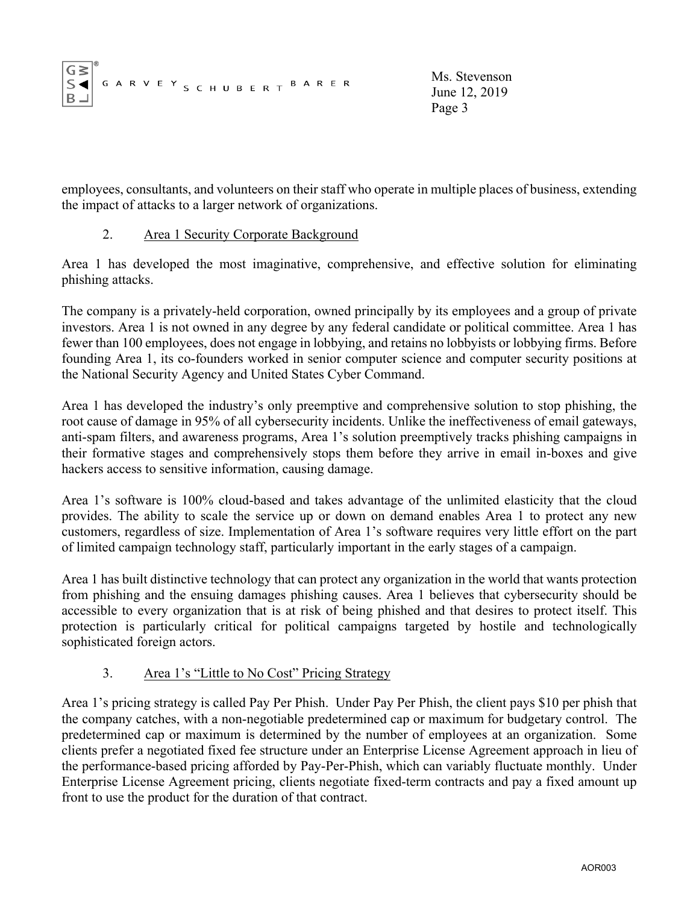| $\begin{array}{ c c } \hline G\,\textbf{S} & ^{\circ} \\ \textbf{S} & ^{\circ} \\ \textbf{B} & ^{\circ} \\ \hline \end{array}$ |  |  |  |  |  |  |  |  |  |  |
|--------------------------------------------------------------------------------------------------------------------------------|--|--|--|--|--|--|--|--|--|--|
|                                                                                                                                |  |  |  |  |  |  |  |  |  |  |
|                                                                                                                                |  |  |  |  |  |  |  |  |  |  |

Ms. Stevenson June 12, 2019 Page 3

employees, consultants, and volunteers on their staff who operate in multiple places of business, extending the impact of attacks to a larger network of organizations.

## 2. Area 1 Security Corporate Background

Area 1 has developed the most imaginative, comprehensive, and effective solution for eliminating phishing attacks.

The company is a privately-held corporation, owned principally by its employees and a group of private investors. Area 1 is not owned in any degree by any federal candidate or political committee. Area 1 has fewer than 100 employees, does not engage in lobbying, and retains no lobbyists or lobbying firms. Before founding Area 1, its co-founders worked in senior computer science and computer security positions at the National Security Agency and United States Cyber Command.

Area 1 has developed the industry's only preemptive and comprehensive solution to stop phishing, the root cause of damage in 95% of all cybersecurity incidents. Unlike the ineffectiveness of email gateways, anti-spam filters, and awareness programs, Area 1's solution preemptively tracks phishing campaigns in their formative stages and comprehensively stops them before they arrive in email in-boxes and give hackers access to sensitive information, causing damage.

Area 1's software is 100% cloud-based and takes advantage of the unlimited elasticity that the cloud provides. The ability to scale the service up or down on demand enables Area 1 to protect any new customers, regardless of size. Implementation of Area 1's software requires very little effort on the part of limited campaign technology staff, particularly important in the early stages of a campaign.

Area 1 has built distinctive technology that can protect any organization in the world that wants protection from phishing and the ensuing damages phishing causes. Area 1 believes that cybersecurity should be accessible to every organization that is at risk of being phished and that desires to protect itself. This protection is particularly critical for political campaigns targeted by hostile and technologically sophisticated foreign actors.

# 3. Area 1's "Little to No Cost" Pricing Strategy

Area 1's pricing strategy is called Pay Per Phish. Under Pay Per Phish, the client pays \$10 per phish that the company catches, with a non-negotiable predetermined cap or maximum for budgetary control. The predetermined cap or maximum is determined by the number of employees at an organization. Some clients prefer a negotiated fixed fee structure under an Enterprise License Agreement approach in lieu of the performance-based pricing afforded by Pay-Per-Phish, which can variably fluctuate monthly. Under Enterprise License Agreement pricing, clients negotiate fixed-term contracts and pay a fixed amount up front to use the product for the duration of that contract.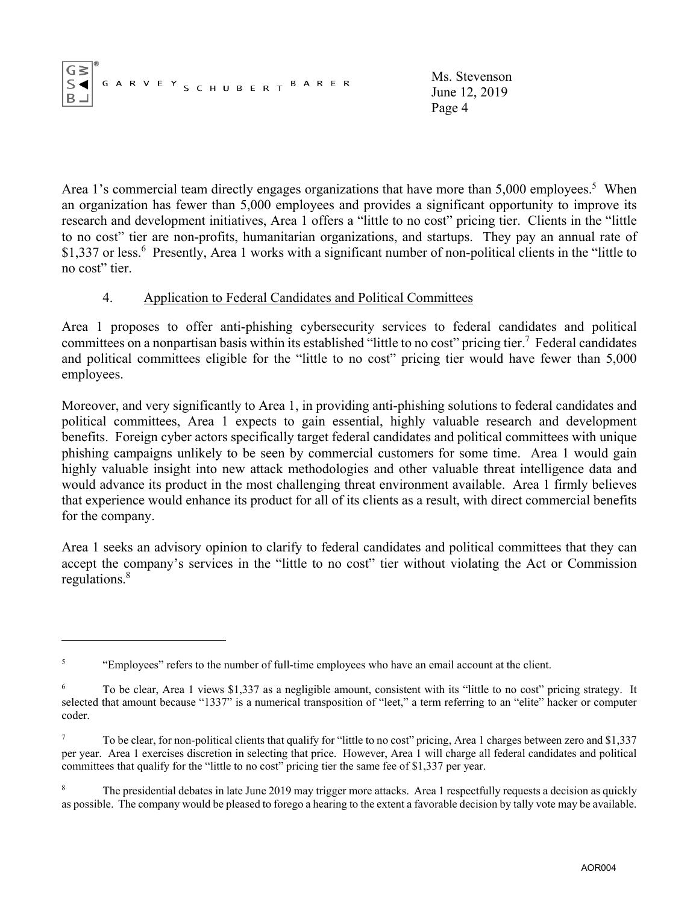|--|--|--|--|--|--|--|

Ms. Stevenson June 12, 2019 Page 4

Area 1's commercial team directly engages organizations that have more than  $5,000$  employees.<sup>5</sup> When an organization has fewer than 5,000 employees and provides a significant opportunity to improve its research and development initiatives, Area 1 offers a "little to no cost" pricing tier. Clients in the "little to no cost" tier are non-profits, humanitarian organizations, and startups. They pay an annual rate of \$1,337 or less.<sup>6</sup> Presently, Area 1 works with a significant number of non-political clients in the "little to no cost" tier.

## 4. Application to Federal Candidates and Political Committees

Area 1 proposes to offer anti-phishing cybersecurity services to federal candidates and political committees on a nonpartisan basis within its established "little to no cost" pricing tier.<sup>7</sup> Federal candidates and political committees eligible for the "little to no cost" pricing tier would have fewer than 5,000 employees.

Moreover, and very significantly to Area 1, in providing anti-phishing solutions to federal candidates and political committees, Area 1 expects to gain essential, highly valuable research and development benefits. Foreign cyber actors specifically target federal candidates and political committees with unique phishing campaigns unlikely to be seen by commercial customers for some time. Area 1 would gain highly valuable insight into new attack methodologies and other valuable threat intelligence data and would advance its product in the most challenging threat environment available. Area 1 firmly believes that experience would enhance its product for all of its clients as a result, with direct commercial benefits for the company.

Area 1 seeks an advisory opinion to clarify to federal candidates and political committees that they can accept the company's services in the "little to no cost" tier without violating the Act or Commission regulations.<sup>8</sup>

<sup>&</sup>lt;sup>5</sup> "Employees" refers to the number of full-time employees who have an email account at the client.

<sup>&</sup>lt;sup>6</sup> To be clear, Area 1 views \$1,337 as a negligible amount, consistent with its "little to no cost" pricing strategy. It selected that amount because "1337" is a numerical transposition of "leet," a term referring to an "elite" hacker or computer coder.

<sup>&</sup>lt;sup>7</sup> To be clear, for non-political clients that qualify for "little to no cost" pricing, Area 1 charges between zero and \$1,337 per year. Area 1 exercises discretion in selecting that price. However, Area 1 will charge all federal candidates and political committees that qualify for the "little to no cost" pricing tier the same fee of \$1,337 per year.

The presidential debates in late June 2019 may trigger more attacks. Area 1 respectfully requests a decision as quickly as possible. The company would be pleased to forego a hearing to the extent a favorable decision by tally vote may be available.